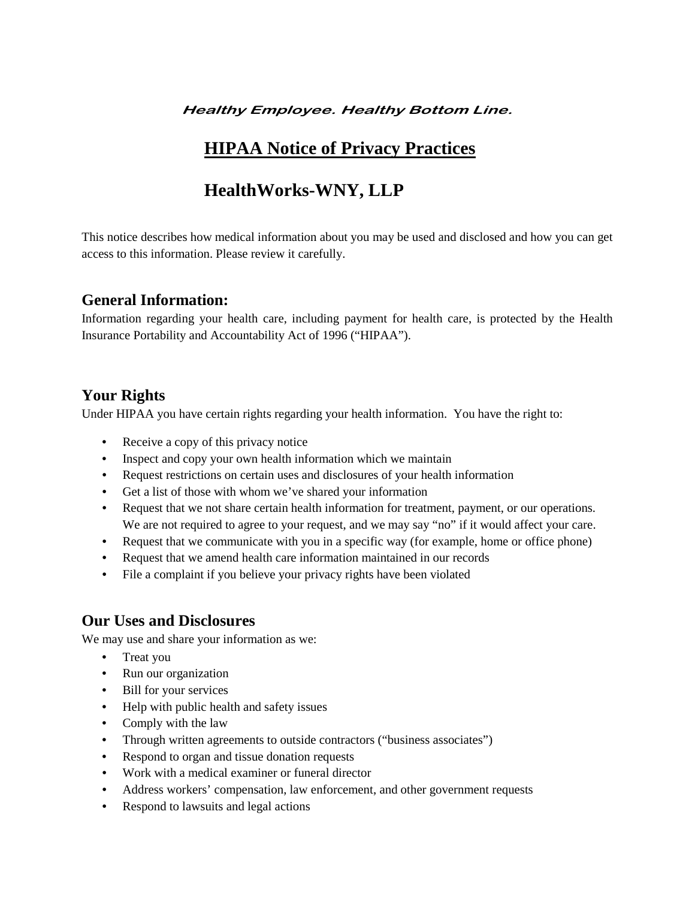#### **Healthy Employee. Healthy Bottom Line.**

# **HIPAA Notice of Privacy Practices**

# **HealthWorks-WNY, LLP**

This notice describes how medical information about you may be used and disclosed and how you can get access to this information. Please review it carefully.

#### **General Information:**

Information regarding your health care, including payment for health care, is protected by the Health Insurance Portability and Accountability Act of 1996 ("HIPAA").

#### **Your Rights**

Under HIPAA you have certain rights regarding your health information. You have the right to:

- Receive a copy of this privacy notice
- Inspect and copy your own health information which we maintain
- Request restrictions on certain uses and disclosures of your health information
- Get a list of those with whom we've shared your information
- Request that we not share certain health information for treatment, payment, or our operations. We are not required to agree to your request, and we may say "no" if it would affect your care.
- Request that we communicate with you in a specific way (for example, home or office phone)
- Request that we amend health care information maintained in our records
- File a complaint if you believe your privacy rights have been violated

#### **Our Uses and Disclosures**

We may use and share your information as we:

- Treat you
- Run our organization
- Bill for your services
- Help with public health and safety issues
- Comply with the law
- Through written agreements to outside contractors ("business associates")
- Respond to organ and tissue donation requests
- Work with a medical examiner or funeral director
- Address workers' compensation, law enforcement, and other government requests
- Respond to lawsuits and legal actions